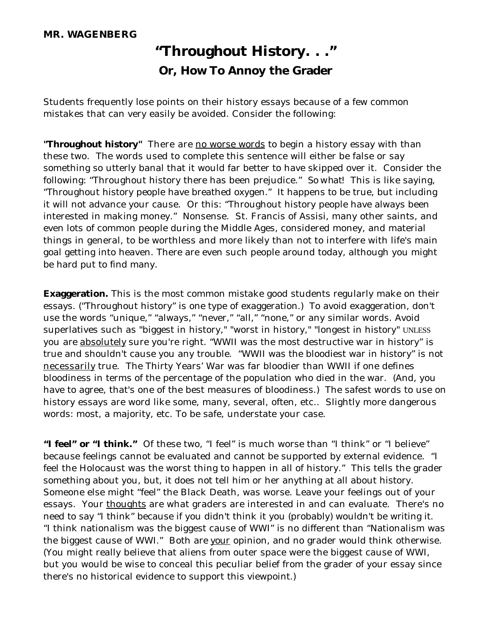## **MR. WAGENBERG**

## **"Throughout History. . ." Or, How To Annoy the Grader**

Students frequently lose points on their history essays because of a few common mistakes that can very easily be avoided. Consider the following:

"Throughout history" There are no worse words to begin a history essay with than these two. The words used to complete this sentence will either be false or say something so utterly banal that it would far better to have skipped over it. Consider the following: "Throughout history there has been prejudice." *So what!* This is like saying, "Throughout history people have breathed oxygen." It happens to be true, but including it will not advance your cause. Or this: "Throughout history people have always been interested in making money." Nonsense. St. Francis of Assisi, many other saints, and even lots of common people during the Middle Ages, considered money, and material things in general, to be worthless and more likely than not to interfere with life's main goal getting into heaven. There are even such people around today, although you might be hard put to find many.

**Exaggeration.** This is the most common mistake good students regularly make on their essays. ("Throughout history" is one type of exaggeration.) To avoid exaggeration, don't use the words "unique," "always," "never," "all," "none," or any similar words. Avoid superlatives such as "biggest in history," "worst in history," "longest in history" UNLESS you are absolutely sure you're right. "WWII was the most destructive war in history" is true and shouldn't cause you any trouble. "WWII was the bloodiest war in history" is not necessarily true. The Thirty Years' War was far bloodier than WWII if one defines bloodiness in terms of the percentage of the population who died in the war. (And, you have to agree, that's one of the best measures of bloodiness.) The safest words to use on history essays are word like some, many, several, often, etc.. Slightly more dangerous words: most, a majority, etc. To be safe, understate your case.

**"I feel" or "I think."** Of these two, "I feel" is much worse than "I think" or "I believe" because feelings cannot be evaluated and cannot be supported by external evidence. "I feel the Holocaust was the worst thing to happen in all of history." This tells the grader something about you, but, it does not tell him or her anything at all about history. Someone else might "feel" the Black Death, was worse. Leave your feelings out of your essays. Your thoughts are what graders are interested in and can evaluate. There's no need to say "I think" because if you didn't think it you (probably) wouldn't be writing it. "I think nationalism was the biggest cause of WWI" is no different than "Nationalism was the biggest cause of WWI." Both are your opinion, and no grader would think otherwise. (You might really believe that aliens from outer space were the biggest cause of WWI, but you would be wise to conceal this peculiar belief from the grader of your essay since there's no historical evidence to support this viewpoint.)